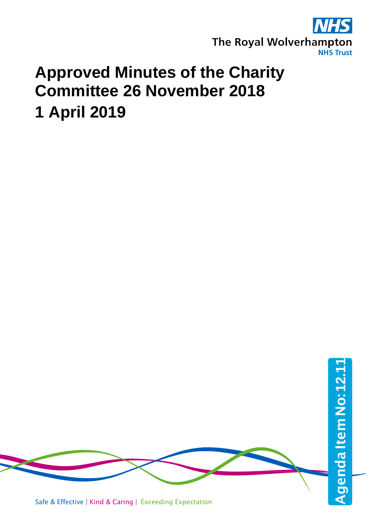

## **Approved Minutes of the Charity Committee 26 November 2018 1 April 2019**

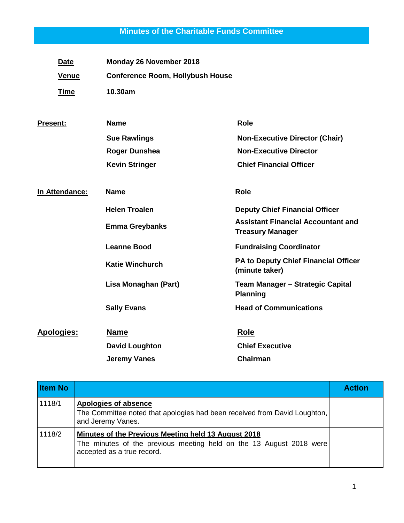## **Minutes of the Charitable Funds Committee**

| <b>Date</b>       | Monday 26 November 2018                 |                                                                      |
|-------------------|-----------------------------------------|----------------------------------------------------------------------|
| <b>Venue</b>      | <b>Conference Room, Hollybush House</b> |                                                                      |
| <b>Time</b>       | 10.30am                                 |                                                                      |
| <b>Present:</b>   | <b>Name</b>                             | <b>Role</b>                                                          |
|                   | <b>Sue Rawlings</b>                     | <b>Non-Executive Director (Chair)</b>                                |
|                   | <b>Roger Dunshea</b>                    | <b>Non-Executive Director</b>                                        |
|                   | <b>Kevin Stringer</b>                   | <b>Chief Financial Officer</b>                                       |
| In Attendance:    | <b>Name</b>                             | <b>Role</b>                                                          |
|                   | <b>Helen Troalen</b>                    | <b>Deputy Chief Financial Officer</b>                                |
|                   | <b>Emma Greybanks</b>                   | <b>Assistant Financial Accountant and</b><br><b>Treasury Manager</b> |
|                   | <b>Leanne Bood</b>                      | <b>Fundraising Coordinator</b>                                       |
|                   | <b>Katie Winchurch</b>                  | PA to Deputy Chief Financial Officer<br>(minute taker)               |
|                   | Lisa Monaghan (Part)                    | Team Manager - Strategic Capital<br><b>Planning</b>                  |
|                   | <b>Sally Evans</b>                      | <b>Head of Communications</b>                                        |
| <b>Apologies:</b> | <b>Name</b>                             | <b>Role</b>                                                          |
|                   | <b>David Loughton</b>                   | <b>Chief Executive</b>                                               |
|                   | <b>Jeremy Vanes</b>                     | Chairman                                                             |

| <b>Item No</b> |                                                                                                                                                          | <b>Action</b> |
|----------------|----------------------------------------------------------------------------------------------------------------------------------------------------------|---------------|
| 1118/1         | <b>Apologies of absence</b><br>The Committee noted that apologies had been received from David Loughton,<br>and Jeremy Vanes.                            |               |
| 1118/2         | Minutes of the Previous Meeting held 13 August 2018<br>The minutes of the previous meeting held on the 13 August 2018 were<br>accepted as a true record. |               |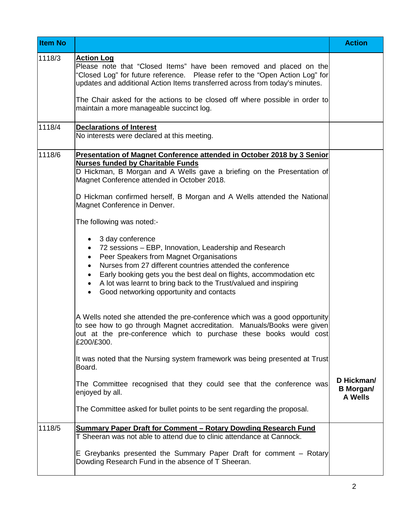| <b>Item No</b> |                                                                                                                                                                                                                                                                                                                                                                                                                                      | <b>Action</b>                                    |
|----------------|--------------------------------------------------------------------------------------------------------------------------------------------------------------------------------------------------------------------------------------------------------------------------------------------------------------------------------------------------------------------------------------------------------------------------------------|--------------------------------------------------|
| 1118/3         | <u>Action Log</u><br>Please note that "Closed Items" have been removed and placed on the<br>'Closed Log" for future reference.  Please refer to the "Open Action Log" for<br>updates and additional Action Items transferred across from today's minutes.                                                                                                                                                                            |                                                  |
|                | The Chair asked for the actions to be closed off where possible in order to<br>maintain a more manageable succinct log.                                                                                                                                                                                                                                                                                                              |                                                  |
| 1118/4         | <b>Declarations of Interest</b><br>No interests were declared at this meeting.                                                                                                                                                                                                                                                                                                                                                       |                                                  |
| 1118/6         | Presentation of Magnet Conference attended in October 2018 by 3 Senior<br><b>Nurses funded by Charitable Funds</b><br>D Hickman, B Morgan and A Wells gave a briefing on the Presentation of<br>Magnet Conference attended in October 2018.<br>D Hickman confirmed herself, B Morgan and A Wells attended the National<br>Magnet Conference in Denver.                                                                               |                                                  |
|                | The following was noted:-                                                                                                                                                                                                                                                                                                                                                                                                            |                                                  |
|                | 3 day conference<br>٠<br>72 sessions - EBP, Innovation, Leadership and Research<br>٠<br>Peer Speakers from Magnet Organisations<br>$\bullet$<br>Nurses from 27 different countries attended the conference<br>$\bullet$<br>Early booking gets you the best deal on flights, accommodation etc<br>٠<br>A lot was learnt to bring back to the Trust/valued and inspiring<br>٠<br>Good networking opportunity and contacts<br>$\bullet$ |                                                  |
|                | A Wells noted she attended the pre-conference which was a good opportunity<br>to see how to go through Magnet accreditation. Manuals/Books were given<br>out at the pre-conference which to purchase these books would cost<br>£200/£300.                                                                                                                                                                                            |                                                  |
|                | It was noted that the Nursing system framework was being presented at Trust<br>Board.                                                                                                                                                                                                                                                                                                                                                |                                                  |
|                | The Committee recognised that they could see that the conference was<br>enjoyed by all.                                                                                                                                                                                                                                                                                                                                              | D Hickman/<br><b>B</b> Morgan/<br><b>A Wells</b> |
|                | The Committee asked for bullet points to be sent regarding the proposal.                                                                                                                                                                                                                                                                                                                                                             |                                                  |
| 1118/5         | <b>Summary Paper Draft for Comment - Rotary Dowding Research Fund</b><br>T Sheeran was not able to attend due to clinic attendance at Cannock.                                                                                                                                                                                                                                                                                       |                                                  |
|                | E Greybanks presented the Summary Paper Draft for comment – Rotary<br>Dowding Research Fund in the absence of T Sheeran.                                                                                                                                                                                                                                                                                                             |                                                  |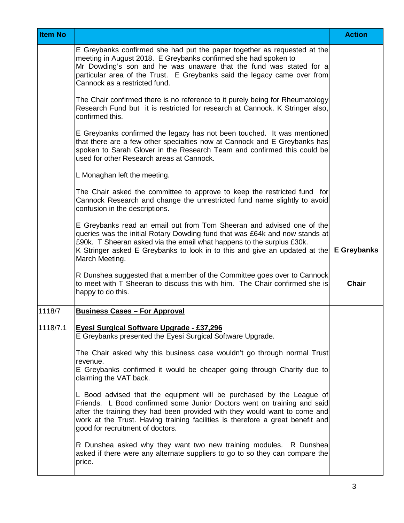| <b>Item No</b> |                                                                                                                                                                                                                                                                                                                                                     | <b>Action</b> |
|----------------|-----------------------------------------------------------------------------------------------------------------------------------------------------------------------------------------------------------------------------------------------------------------------------------------------------------------------------------------------------|---------------|
|                | E Greybanks confirmed she had put the paper together as requested at the<br>meeting in August 2018. E Greybanks confirmed she had spoken to<br>Mr Dowding's son and he was unaware that the fund was stated for a<br>particular area of the Trust. E Greybanks said the legacy came over from<br>Cannock as a restricted fund.                      |               |
|                | The Chair confirmed there is no reference to it purely being for Rheumatology<br>Research Fund but it is restricted for research at Cannock. K Stringer also,<br>confirmed this.                                                                                                                                                                    |               |
|                | E Greybanks confirmed the legacy has not been touched. It was mentioned<br>that there are a few other specialties now at Cannock and E Greybanks has<br>spoken to Sarah Glover in the Research Team and confirmed this could be<br>used for other Research areas at Cannock.                                                                        |               |
|                | L Monaghan left the meeting.                                                                                                                                                                                                                                                                                                                        |               |
|                | The Chair asked the committee to approve to keep the restricted fund for<br>Cannock Research and change the unrestricted fund name slightly to avoid<br>confusion in the descriptions.                                                                                                                                                              |               |
|                | E Greybanks read an email out from Tom Sheeran and advised one of the<br>queries was the initial Rotary Dowding fund that was £64k and now stands at<br>£90k. T Sheeran asked via the email what happens to the surplus £30k.<br>K Stringer asked E Greybanks to look in to this and give an updated at the<br>March Meeting.                       | E Greybanks   |
|                | R Dunshea suggested that a member of the Committee goes over to Cannock<br>to meet with T Sheeran to discuss this with him. The Chair confirmed she is<br>happy to do this.                                                                                                                                                                         | <b>Chair</b>  |
| 1118/7         | <b>Business Cases - For Approval</b>                                                                                                                                                                                                                                                                                                                |               |
| 1118/7.1       | Eyesi Surgical Software Upgrade - £37,296<br>E Greybanks presented the Eyesi Surgical Software Upgrade.                                                                                                                                                                                                                                             |               |
|                | The Chair asked why this business case wouldn't go through normal Trust                                                                                                                                                                                                                                                                             |               |
|                | revenue.<br>E Greybanks confirmed it would be cheaper going through Charity due to<br>claiming the VAT back.                                                                                                                                                                                                                                        |               |
|                | L Bood advised that the equipment will be purchased by the League of<br>Friends. L Bood confirmed some Junior Doctors went on training and said<br>after the training they had been provided with they would want to come and<br>work at the Trust. Having training facilities is therefore a great benefit and<br>good for recruitment of doctors. |               |
|                | R Dunshea asked why they want two new training modules. R Dunshea<br>asked if there were any alternate suppliers to go to so they can compare the<br>price.                                                                                                                                                                                         |               |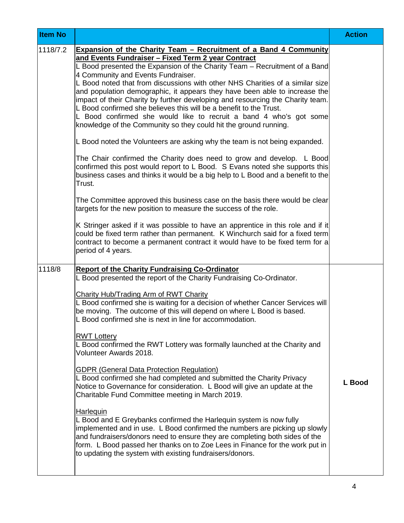| <b>Item No</b> |                                                                                                                                                                                                                                                                                                                                                                                                                                                                                                                                                                                                                                                                                                                                                                                                                                                                                                                                                                                                                                                                                                                                | <b>Action</b> |
|----------------|--------------------------------------------------------------------------------------------------------------------------------------------------------------------------------------------------------------------------------------------------------------------------------------------------------------------------------------------------------------------------------------------------------------------------------------------------------------------------------------------------------------------------------------------------------------------------------------------------------------------------------------------------------------------------------------------------------------------------------------------------------------------------------------------------------------------------------------------------------------------------------------------------------------------------------------------------------------------------------------------------------------------------------------------------------------------------------------------------------------------------------|---------------|
| 1118/7.2       | Expansion of the Charity Team - Recruitment of a Band 4 Community<br>and Events Fundraiser - Fixed Term 2 year Contract<br>L Bood presented the Expansion of the Charity Team - Recruitment of a Band<br>4 Community and Events Fundraiser.<br>L Bood noted that from discussions with other NHS Charities of a similar size<br>and population demographic, it appears they have been able to increase the<br>impact of their Charity by further developing and resourcing the Charity team.<br>L Bood confirmed she believes this will be a benefit to the Trust.<br>L Bood confirmed she would like to recruit a band 4 who's got some<br>knowledge of the Community so they could hit the ground running.<br>L Bood noted the Volunteers are asking why the team is not being expanded.<br>The Chair confirmed the Charity does need to grow and develop. L Bood<br>confirmed this post would report to L Bood. S Evans noted she supports this<br>business cases and thinks it would be a big help to L Bood and a benefit to the<br>Trust.<br>The Committee approved this business case on the basis there would be clear |               |
|                | targets for the new position to measure the success of the role.<br>K Stringer asked if it was possible to have an apprentice in this role and if it<br>could be fixed term rather than permanent. K Winchurch said for a fixed term<br>contract to become a permanent contract it would have to be fixed term for a<br>period of 4 years.                                                                                                                                                                                                                                                                                                                                                                                                                                                                                                                                                                                                                                                                                                                                                                                     |               |
| 1118/8         | <b>Report of the Charity Fundraising Co-Ordinator</b><br>L Bood presented the report of the Charity Fundraising Co-Ordinator.<br>Charity Hub/Trading Arm of RWT Charity<br>L Bood confirmed she is waiting for a decision of whether Cancer Services will<br>be moving. The outcome of this will depend on where L Bood is based.<br>L Bood confirmed she is next in line for accommodation.<br><b>RWT Lottery</b><br>L Bood confirmed the RWT Lottery was formally launched at the Charity and<br>Volunteer Awards 2018.<br><b>GDPR (General Data Protection Regulation)</b><br>L Bood confirmed she had completed and submitted the Charity Privacy<br>Notice to Governance for consideration. L Bood will give an update at the                                                                                                                                                                                                                                                                                                                                                                                             | L Bood        |
|                | Charitable Fund Committee meeting in March 2019.<br><b>Harlequin</b><br>L Bood and E Greybanks confirmed the Harlequin system is now fully<br>implemented and in use. L Bood confirmed the numbers are picking up slowly<br>and fundraisers/donors need to ensure they are completing both sides of the<br>form. L Bood passed her thanks on to Zoe Lees in Finance for the work put in<br>to updating the system with existing fundraisers/donors.                                                                                                                                                                                                                                                                                                                                                                                                                                                                                                                                                                                                                                                                            |               |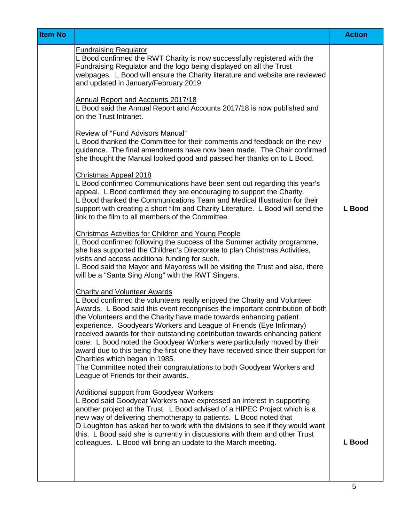| <b>Item No</b> |                                                                                                                                                                                                                                                                                                                                                                                                                                                                                                                                                                                                                                                                                                                                                                                                                                                                                                                                                                                                                                                                                                                                                                                                                                                                                                                                                                                                                                                                                                                                                                                                                                                                                                                                                                                                                                                                                                                                                                                                                                                                                                                                                                                                                                                                                                                                           | <b>Action</b> |
|----------------|-------------------------------------------------------------------------------------------------------------------------------------------------------------------------------------------------------------------------------------------------------------------------------------------------------------------------------------------------------------------------------------------------------------------------------------------------------------------------------------------------------------------------------------------------------------------------------------------------------------------------------------------------------------------------------------------------------------------------------------------------------------------------------------------------------------------------------------------------------------------------------------------------------------------------------------------------------------------------------------------------------------------------------------------------------------------------------------------------------------------------------------------------------------------------------------------------------------------------------------------------------------------------------------------------------------------------------------------------------------------------------------------------------------------------------------------------------------------------------------------------------------------------------------------------------------------------------------------------------------------------------------------------------------------------------------------------------------------------------------------------------------------------------------------------------------------------------------------------------------------------------------------------------------------------------------------------------------------------------------------------------------------------------------------------------------------------------------------------------------------------------------------------------------------------------------------------------------------------------------------------------------------------------------------------------------------------------------------|---------------|
|                | <b>Fundraising Regulator</b><br>L Bood confirmed the RWT Charity is now successfully registered with the<br>Fundraising Regulator and the logo being displayed on all the Trust<br>webpages. L Bood will ensure the Charity literature and website are reviewed<br>and updated in January/February 2019.<br>Annual Report and Accounts 2017/18<br>L Bood said the Annual Report and Accounts 2017/18 is now published and<br>on the Trust Intranet.<br>Review of "Fund Advisors Manual"<br>L Bood thanked the Committee for their comments and feedback on the new<br>guidance. The final amendments have now been made. The Chair confirmed<br>she thought the Manual looked good and passed her thanks on to L Bood.<br>Christmas Appeal 2018<br>L Bood confirmed Communications have been sent out regarding this year's<br>appeal. L Bood confirmed they are encouraging to support the Charity.<br>L Bood thanked the Communications Team and Medical Illustration for their<br>support with creating a short film and Charity Literature. L Bood will send the<br>link to the film to all members of the Committee.<br><b>Christmas Activities for Children and Young People</b><br>L Bood confirmed following the success of the Summer activity programme,<br>she has supported the Children's Directorate to plan Christmas Activities,<br>visits and access additional funding for such.<br>L Bood said the Mayor and Mayoress will be visiting the Trust and also, there<br>will be a "Santa Sing Along" with the RWT Singers.<br><b>Charity and Volunteer Awards</b><br>L Bood confirmed the volunteers really enjoyed the Charity and Volunteer<br>Awards. L Bood said this event recongnises the important contribution of both<br>the Volunteers and the Charity have made towards enhancing patient<br>experience. Goodyears Workers and League of Friends (Eye Infirmary)<br>received awards for their outstanding contribution towards enhancing patient<br>care. L Bood noted the Goodyear Workers were particularly moved by their<br>award due to this being the first one they have received since their support for<br>Charities which began in 1985.<br>The Committee noted their congratulations to both Goodyear Workers and<br>League of Friends for their awards.<br>Additional support from Goodyear Workers | L Bood        |
|                | L Bood said Goodyear Workers have expressed an interest in supporting<br>another project at the Trust. L Bood advised of a HIPEC Project which is a<br>new way of delivering chemotherapy to patients. L Bood noted that<br>D Loughton has asked her to work with the divisions to see if they would want<br>this. L Bood said she is currently in discussions with them and other Trust<br>colleagues. L Bood will bring an update to the March meeting.                                                                                                                                                                                                                                                                                                                                                                                                                                                                                                                                                                                                                                                                                                                                                                                                                                                                                                                                                                                                                                                                                                                                                                                                                                                                                                                                                                                                                                                                                                                                                                                                                                                                                                                                                                                                                                                                                 | L Bood        |
|                |                                                                                                                                                                                                                                                                                                                                                                                                                                                                                                                                                                                                                                                                                                                                                                                                                                                                                                                                                                                                                                                                                                                                                                                                                                                                                                                                                                                                                                                                                                                                                                                                                                                                                                                                                                                                                                                                                                                                                                                                                                                                                                                                                                                                                                                                                                                                           |               |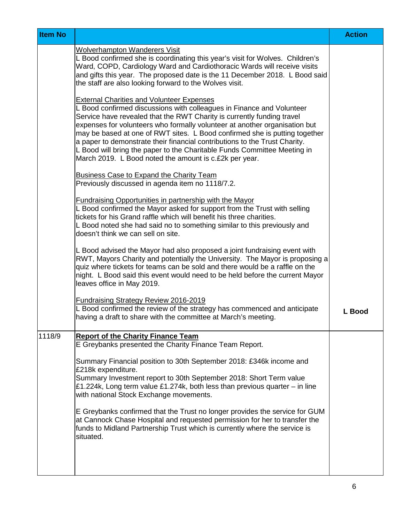| <b>Item No</b> |                                                                                                                                                                                                                                                                                                                                                                                                                                                                                                                                                                                     | <b>Action</b> |
|----------------|-------------------------------------------------------------------------------------------------------------------------------------------------------------------------------------------------------------------------------------------------------------------------------------------------------------------------------------------------------------------------------------------------------------------------------------------------------------------------------------------------------------------------------------------------------------------------------------|---------------|
|                | <b>Wolverhampton Wanderers Visit</b><br>L Bood confirmed she is coordinating this year's visit for Wolves. Children's<br>Ward, COPD, Cardiology Ward and Cardiothoracic Wards will receive visits<br>and gifts this year. The proposed date is the 11 December 2018. L Bood said<br>the staff are also looking forward to the Wolves visit.                                                                                                                                                                                                                                         |               |
|                | <b>External Charities and Volunteer Expenses</b><br>L Bood confirmed discussions with colleagues in Finance and Volunteer<br>Service have revealed that the RWT Charity is currently funding travel<br>expenses for volunteers who formally volunteer at another organisation but<br>may be based at one of RWT sites. L Bood confirmed she is putting together<br>a paper to demonstrate their financial contributions to the Trust Charity.<br>L Bood will bring the paper to the Charitable Funds Committee Meeting in<br>March 2019. L Bood noted the amount is c.£2k per year. |               |
|                | <b>Business Case to Expand the Charity Team</b><br>Previously discussed in agenda item no 1118/7.2.                                                                                                                                                                                                                                                                                                                                                                                                                                                                                 |               |
|                | <b>Fundraising Opportunities in partnership with the Mayor</b><br>L Bood confirmed the Mayor asked for support from the Trust with selling<br>tickets for his Grand raffle which will benefit his three charities.<br>L Bood noted she had said no to something similar to this previously and<br>doesn't think we can sell on site.                                                                                                                                                                                                                                                |               |
|                | L Bood advised the Mayor had also proposed a joint fundraising event with<br>RWT, Mayors Charity and potentially the University. The Mayor is proposing a<br>quiz where tickets for teams can be sold and there would be a raffle on the<br>night. L Bood said this event would need to be held before the current Mayor<br>leaves office in May 2019.                                                                                                                                                                                                                              |               |
|                | <b>Fundraising Strategy Review 2016-2019</b><br>L Bood confirmed the review of the strategy has commenced and anticipate<br>having a draft to share with the committee at March's meeting.                                                                                                                                                                                                                                                                                                                                                                                          | L Bood        |
| 1118/9         | <b>Report of the Charity Finance Team</b><br>E Greybanks presented the Charity Finance Team Report.                                                                                                                                                                                                                                                                                                                                                                                                                                                                                 |               |
|                | Summary Financial position to 30th September 2018: £346k income and<br>£218k expenditure.<br>Summary Investment report to 30th September 2018: Short Term value<br>£1.224k, Long term value £1.274k, both less than previous quarter – in line<br>with national Stock Exchange movements.                                                                                                                                                                                                                                                                                           |               |
|                | E Greybanks confirmed that the Trust no longer provides the service for GUM<br>at Cannock Chase Hospital and requested permission for her to transfer the<br>funds to Midland Partnership Trust which is currently where the service is<br>situated.                                                                                                                                                                                                                                                                                                                                |               |
|                |                                                                                                                                                                                                                                                                                                                                                                                                                                                                                                                                                                                     |               |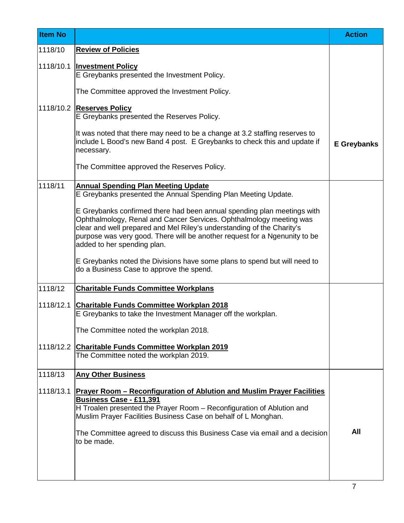| <b>Item No</b> |                                                                                                                                                                                                                                                                                                                                       | <b>Action</b>      |
|----------------|---------------------------------------------------------------------------------------------------------------------------------------------------------------------------------------------------------------------------------------------------------------------------------------------------------------------------------------|--------------------|
| 1118/10        | <b>Review of Policies</b>                                                                                                                                                                                                                                                                                                             |                    |
| 1118/10.1      | <b>Investment Policy</b><br>E Greybanks presented the Investment Policy.                                                                                                                                                                                                                                                              |                    |
|                | The Committee approved the Investment Policy.                                                                                                                                                                                                                                                                                         |                    |
|                | 1118/10.2 Reserves Policy<br>E Greybanks presented the Reserves Policy.                                                                                                                                                                                                                                                               |                    |
|                | It was noted that there may need to be a change at 3.2 staffing reserves to<br>include L Bood's new Band 4 post. E Greybanks to check this and update if<br>necessary.                                                                                                                                                                | <b>E</b> Greybanks |
|                | The Committee approved the Reserves Policy.                                                                                                                                                                                                                                                                                           |                    |
| 1118/11        | <b>Annual Spending Plan Meeting Update</b><br>E Greybanks presented the Annual Spending Plan Meeting Update.                                                                                                                                                                                                                          |                    |
|                | E Greybanks confirmed there had been annual spending plan meetings with<br>Ophthalmology, Renal and Cancer Services. Ophthalmology meeting was<br>clear and well prepared and Mel Riley's understanding of the Charity's<br>purpose was very good. There will be another request for a Ngenunity to be<br>added to her spending plan. |                    |
|                | E Greybanks noted the Divisions have some plans to spend but will need to<br>do a Business Case to approve the spend.                                                                                                                                                                                                                 |                    |
| 1118/12        | <b>Charitable Funds Committee Workplans</b>                                                                                                                                                                                                                                                                                           |                    |
| 1118/12.1      | <b>Charitable Funds Committee Workplan 2018</b><br>E Greybanks to take the Investment Manager off the workplan.                                                                                                                                                                                                                       |                    |
|                | The Committee noted the workplan 2018.                                                                                                                                                                                                                                                                                                |                    |
| 1118/12.2      | <b>Charitable Funds Committee Workplan 2019</b><br>The Committee noted the workplan 2019.                                                                                                                                                                                                                                             |                    |
| 1118/13        | <b>Any Other Business</b>                                                                                                                                                                                                                                                                                                             |                    |
| 1118/13.1      | <b>Prayer Room - Reconfiguration of Ablution and Muslim Prayer Facilities</b><br><b>Business Case - £11,391</b><br>H Troalen presented the Prayer Room - Reconfiguration of Ablution and<br>Muslim Prayer Facilities Business Case on behalf of L Monghan.                                                                            |                    |
|                | The Committee agreed to discuss this Business Case via email and a decision<br>to be made.                                                                                                                                                                                                                                            | All                |